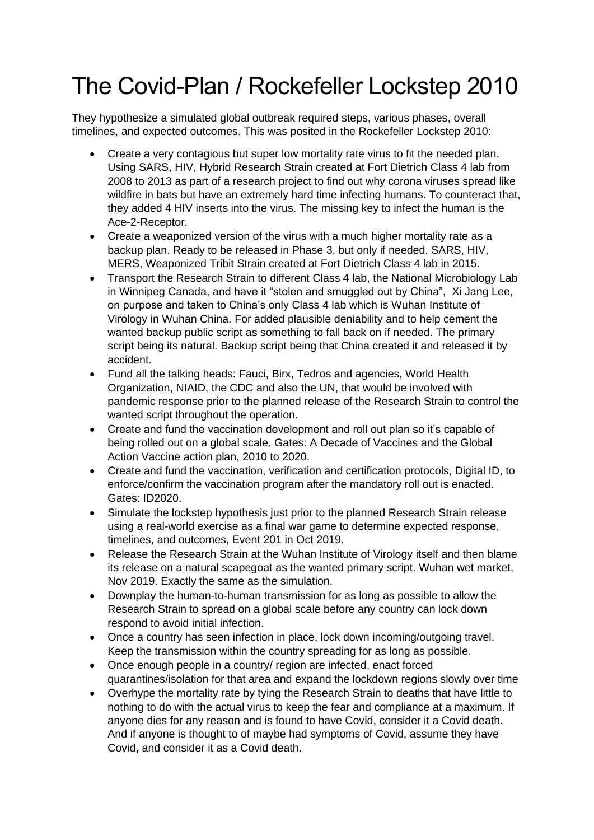## The Covid-Plan / Rockefeller Lockstep 2010

They hypothesize a simulated global outbreak required steps, various phases, overall timelines, and expected outcomes. This was posited in the Rockefeller Lockstep 2010:

- Create a very contagious but super low mortality rate virus to fit the needed plan. Using SARS, HIV, Hybrid Research Strain created at Fort Dietrich Class 4 lab from 2008 to 2013 as part of a research project to find out why corona viruses spread like wildfire in bats but have an extremely hard time infecting humans. To counteract that, they added 4 HIV inserts into the virus. The missing key to infect the human is the Ace-2-Receptor.
- Create a weaponized version of the virus with a much higher mortality rate as a backup plan. Ready to be released in Phase 3, but only if needed. SARS, HIV, MERS, Weaponized Tribit Strain created at Fort Dietrich Class 4 lab in 2015.
- Transport the Research Strain to different Class 4 lab, the National Microbiology Lab in Winnipeg Canada, and have it "stolen and smuggled out by China", Xi Jang Lee, on purpose and taken to China's only Class 4 lab which is Wuhan Institute of Virology in Wuhan China. For added plausible deniability and to help cement the wanted backup public script as something to fall back on if needed. The primary script being its natural. Backup script being that China created it and released it by accident.
- Fund all the talking heads: Fauci, Birx, Tedros and agencies, World Health Organization, NIAID, the CDC and also the UN, that would be involved with pandemic response prior to the planned release of the Research Strain to control the wanted script throughout the operation.
- Create and fund the vaccination development and roll out plan so it's capable of being rolled out on a global scale. Gates: A Decade of Vaccines and the Global Action Vaccine action plan, 2010 to 2020.
- Create and fund the vaccination, verification and certification protocols, Digital ID, to enforce/confirm the vaccination program after the mandatory roll out is enacted. Gates: ID2020.
- Simulate the lockstep hypothesis just prior to the planned Research Strain release using a real-world exercise as a final war game to determine expected response, timelines, and outcomes, Event 201 in Oct 2019.
- Release the Research Strain at the Wuhan Institute of Virology itself and then blame its release on a natural scapegoat as the wanted primary script. Wuhan wet market, Nov 2019. Exactly the same as the simulation.
- Downplay the human-to-human transmission for as long as possible to allow the Research Strain to spread on a global scale before any country can lock down respond to avoid initial infection.
- Once a country has seen infection in place, lock down incoming/outgoing travel. Keep the transmission within the country spreading for as long as possible.
- Once enough people in a country/ region are infected, enact forced quarantines/isolation for that area and expand the lockdown regions slowly over time
- Overhype the mortality rate by tying the Research Strain to deaths that have little to nothing to do with the actual virus to keep the fear and compliance at a maximum. If anyone dies for any reason and is found to have Covid, consider it a Covid death. And if anyone is thought to of maybe had symptoms of Covid, assume they have Covid, and consider it as a Covid death.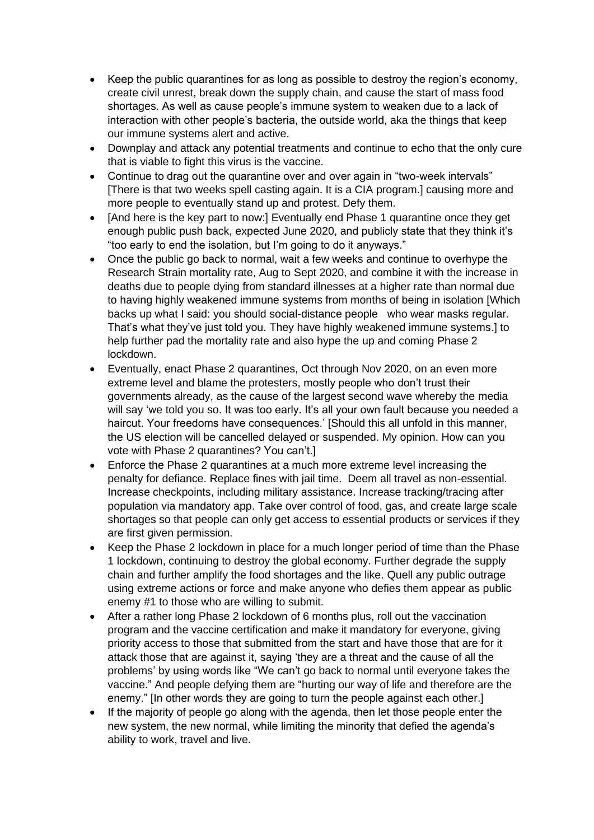- Keep the public quarantines for as long as possible to destroy the region's economy, create civil unrest, break down the supply chain, and cause the start of mass food shortages. As well as cause people's immune system to weaken due to a lack of interaction with other people's bacteria, the outside world, aka the things that keep our immune systems alert and active.
- Downplay and attack any potential treatments and continue to echo that the only cure that is viable to fight this virus is the vaccine.
- Continue to drag out the quarantine over and over again in "two-week intervals" [There is that two weeks spell casting again. It is a CIA program.] causing more and more people to eventually stand up and protest. Defy them.
- [And here is the key part to now:] Eventually end Phase 1 quarantine once they get enough public push back, expected June 2020, and publicly state that they think it's "too early to end the isolation, but I'm going to do it anyways."
- Once the public go back to normal, wait a few weeks and continue to overhype the Research Strain mortality rate, Aug to Sept 2020, and combine it with the increase in deaths due to people dying from standard illnesses at a higher rate than normal due to having highly weakened immune systems from months of being in isolation [Which backs up what I said: you should social-distance people who wear masks regular. That's what they've just told you. They have highly weakened immune systems.] to help further pad the mortality rate and also hype the up and coming Phase 2 lockdown.
- Eventually, enact Phase 2 quarantines, Oct through Nov 2020, on an even more extreme level and blame the protesters, mostly people who don't trust their governments already, as the cause of the largest second wave whereby the media will say 'we told you so. It was too early. It's all your own fault because you needed a haircut. Your freedoms have consequences.' [Should this all unfold in this manner, the US election will be cancelled delayed or suspended. My opinion. How can you vote with Phase 2 quarantines? You can't.]
- Enforce the Phase 2 quarantines at a much more extreme level increasing the penalty for defiance. Replace fines with jail time. Deem all travel as non-essential. Increase checkpoints, including military assistance. Increase tracking/tracing after population via mandatory app. Take over control of food, gas, and create large scale shortages so that people can only get access to essential products or services if they are first given permission.
- Keep the Phase 2 lockdown in place for a much longer period of time than the Phase 1 lockdown, continuing to destroy the global economy. Further degrade the supply chain and further amplify the food shortages and the like. Quell any public outrage using extreme actions or force and make anyone who defies them appear as public enemy #1 to those who are willing to submit.
- After a rather long Phase 2 lockdown of 6 months plus, roll out the vaccination program and the vaccine certification and make it mandatory for everyone, giving priority access to those that submitted from the start and have those that are for it attack those that are against it, saying 'they are a threat and the cause of all the problems' by using words like "We can't go back to normal until everyone takes the vaccine." And people defying them are "hurting our way of life and therefore are the enemy." [In other words they are going to turn the people against each other.]
- If the majority of people go along with the agenda, then let those people enter the new system, the new normal, while limiting the minority that defied the agenda's ability to work, travel and live.